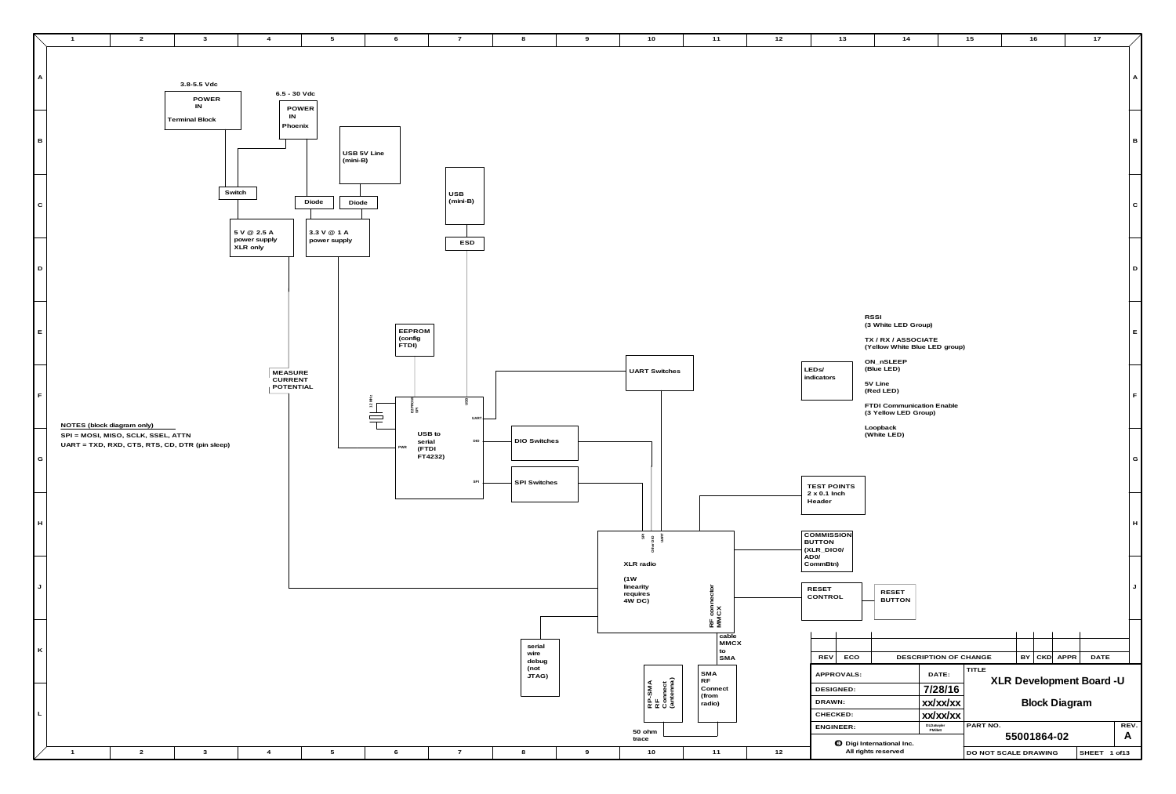

|                                                                                    |                                                                             |                      |                      |      |                          | Α    |
|------------------------------------------------------------------------------------|-----------------------------------------------------------------------------|----------------------|----------------------|------|--------------------------|------|
|                                                                                    |                                                                             |                      |                      |      |                          | в    |
|                                                                                    |                                                                             |                      |                      |      |                          | С    |
|                                                                                    |                                                                             |                      |                      |      |                          | D    |
| <b>RSSI</b><br>ON_nSLEEP                                                           | (3 White LED Group)<br>TX / RX / ASSOCIATE<br>(Yellow White Blue LED group) |                      |                      |      |                          | Е    |
| (Blue LED)<br>LED <sub>s</sub> /<br>indicators<br>5V Line<br>(Red LED)<br>Loopback | FTDI Communication Enable<br>(3 Yellow LED Group)                           |                      |                      |      |                          | F    |
| (White LED)<br><b>TEST POINTS</b>                                                  |                                                                             |                      |                      |      |                          | G    |
| $2 \times 0.1$ Inch<br>Header<br><b>COMMISSION</b><br><b>BUTTON</b><br>(XLR_DIO0/  |                                                                             |                      |                      |      |                          | н    |
| AD <sub>0</sub> /<br>CommBtn)<br><b>RESET</b><br>CONTROL                           | RESET<br><b>BUTTON</b>                                                      |                      |                      |      |                          | J    |
| <b>REV</b><br><b>ECO</b>                                                           | DESCRIPTION OF CHANGE                                                       |                      | BY<br><b>CKD</b>     | APPR | <b>DATE</b>              |      |
| APPROVALS:                                                                         | DATE:                                                                       | <b>TITLE</b>         |                      |      | XLR Development Board -U |      |
| <b>DESIGNED:</b>                                                                   | 7/28/16                                                                     |                      |                      |      |                          |      |
| DRAWN:<br>CHECKED:                                                                 | xx/xx/xx<br>xx/xx/xx                                                        |                      | <b>Block Diagram</b> |      |                          |      |
| <b>ENGINEER:</b>                                                                   | DLDatwyler<br>PMillett                                                      | PART NO.             |                      |      |                          | REV. |
| <b>O</b> Digi International Inc.                                                   |                                                                             |                      | 55001864-02          |      |                          | A    |
| All rights reserved                                                                |                                                                             | DO NOT SCALE DRAWING |                      |      | SHEET 1 of13             |      |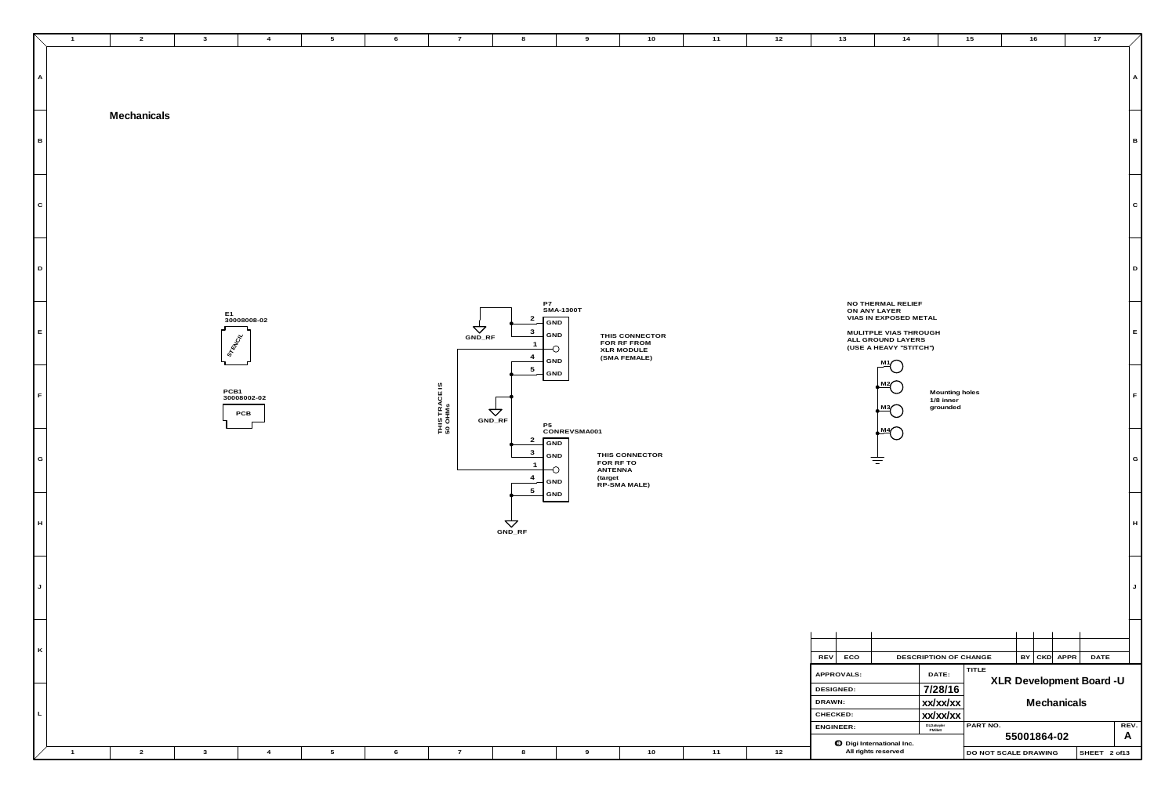| $\blacksquare$ 1 | $\overline{2}$ | $\mathbf{3}$<br>$\overline{4}$            | $5\overline{)}$ | 6                        | $\overline{7}$     | 8<br>9                                                                                                       | 10                                                                 | 12<br>11 | 13                                            | 14                                                                                                                  | 15                                                | 16<br>17                                                 |
|------------------|----------------|-------------------------------------------|-----------------|--------------------------|--------------------|--------------------------------------------------------------------------------------------------------------|--------------------------------------------------------------------|----------|-----------------------------------------------|---------------------------------------------------------------------------------------------------------------------|---------------------------------------------------|----------------------------------------------------------|
| A                | Mechanicals    |                                           |                 |                          |                    |                                                                                                              |                                                                    |          |                                               |                                                                                                                     |                                                   |                                                          |
| $\mathbf{B}$     |                |                                           |                 |                          |                    |                                                                                                              |                                                                    |          |                                               |                                                                                                                     |                                                   |                                                          |
| $\mathbf{C}$     |                |                                           |                 |                          |                    |                                                                                                              |                                                                    |          |                                               |                                                                                                                     |                                                   |                                                          |
| $\vert$ D        |                |                                           |                 |                          |                    |                                                                                                              |                                                                    |          |                                               | NO THERMAL RELIEF                                                                                                   |                                                   |                                                          |
| $\mathsf{E}^-$   |                | E1<br>30008008-02<br><b>STERINGS</b>      |                 |                          | $\Delta$<br>GND_RF | P7<br>SMA-1300T<br>$\overline{2}$<br>GND<br>$\mathbf{3}$<br>GND<br>$\bigcirc$<br>$\overline{4}$<br>GND       | THIS CONNECTOR<br>FOR RF FROM<br><b>XLR MODULE</b><br>(SMA FEMALE) |          |                                               | ON ANY LAYER<br>VIAS IN EXPOSED METAL<br>MULITPLE VIAS THROUGH<br>ALL GROUND LAYERS<br>(USE A HEAVY "STITCH")<br>M1 |                                                   |                                                          |
| F                |                | PCB1<br>30008002-02<br>PCB                |                 | THIS TRACE IS<br>50 OHMs | $\Delta$<br>GND_RF | $5\overline{)}$<br>- GND<br>P <sub>5</sub>                                                                   |                                                                    |          |                                               | $\sqrt{\frac{M^2}{2}}$<br><u>⊾мз</u> ∕<br>- 1                                                                       | Mounting holes<br>$1/8$ inner<br>grounded         |                                                          |
| Ξ<br> G          |                |                                           |                 |                          |                    | CONREVSMA001<br>$\mathbf{2}$<br>GND<br>$\mathbf{3}$<br>GND<br>-0<br>$\overline{4}$<br>GND<br>$5\overline{)}$ | THIS CONNECTOR<br>FOR RF TO<br>ANTENNA<br>(target<br>RP-SMA MALE)  |          |                                               | $\bigoplus_{\mathbf{M}}$<br>专                                                                                       |                                                   |                                                          |
| H                |                |                                           |                 |                          | $rac{1}{\sqrt{2}}$ | GND                                                                                                          |                                                                    |          |                                               |                                                                                                                     |                                                   |                                                          |
| J                |                |                                           |                 |                          |                    |                                                                                                              |                                                                    |          |                                               |                                                                                                                     |                                                   |                                                          |
| $\vert K \vert$  |                |                                           |                 |                          |                    |                                                                                                              |                                                                    |          | REV ECO                                       |                                                                                                                     | DESCRIPTION OF CHANGE                             | $BY$ $CKD$ $APPR$<br>DA                                  |
| $\mathsf{L}$     |                |                                           |                 |                          |                    |                                                                                                              |                                                                    |          | APPROVALS:<br>DESIGNED:<br>DRAWN:<br>CHECKED: |                                                                                                                     | TITLE<br>DATE:<br>7/28/16<br>xx/xx/xx<br>xx/xx/xx | XLR Development Boa<br>Mechanicals                       |
| $-1$             | $\overline{2}$ | $\overline{\mathbf{3}}$<br>$\overline{4}$ | $5\overline{)}$ | 6                        | $\overline{7}$     | 8<br>9                                                                                                       | 10                                                                 | 12<br>11 | ENGINEER:                                     | to Digi International Inc.<br>All rights reserved                                                                   | DLDatwyler<br>PMillett<br>PART NO.                | 55001864-02<br>DO NOT SCALE DRAWING<br>SHEE <sup>-</sup> |

|                  |            |                                                                                                                                          |                                         |                      |    |     |             |                          |         | Α |
|------------------|------------|------------------------------------------------------------------------------------------------------------------------------------------|-----------------------------------------|----------------------|----|-----|-------------|--------------------------|---------|---|
|                  |            |                                                                                                                                          |                                         |                      |    |     |             |                          |         | в |
|                  |            |                                                                                                                                          |                                         |                      |    |     |             |                          |         | C |
|                  |            |                                                                                                                                          |                                         |                      |    |     |             |                          |         | D |
|                  |            | NO THERMAL RELIEF<br>ON ANY LAYER<br>VIAS IN EXPOSED METAL<br>MULITPLE VIAS THROUGH<br>ALL GROUND LAYERS<br>(USE A HEAVY "STITCH")<br>M. |                                         |                      |    |     |             |                          |         | Е |
|                  |            | M2<br>М3<br>M4                                                                                                                           | Mounting holes<br>1/8 inner<br>grounded |                      |    |     |             |                          |         | F |
|                  |            |                                                                                                                                          |                                         |                      |    |     |             |                          |         | G |
|                  |            |                                                                                                                                          |                                         |                      |    |     |             |                          |         | H |
|                  |            |                                                                                                                                          |                                         |                      |    |     |             |                          |         | J |
|                  |            |                                                                                                                                          |                                         |                      |    |     |             |                          |         |   |
|                  |            |                                                                                                                                          |                                         |                      |    |     |             |                          |         |   |
| REV              | ECO        |                                                                                                                                          | DESCRIPTION OF CHANGE                   |                      | BY | CKD | <b>APPR</b> | <b>DATE</b>              |         |   |
|                  | APPROVALS: |                                                                                                                                          | DATE:                                   | <b>TITLE</b>         |    |     |             | XLR Development Board -U |         |   |
| <b>DESIGNED:</b> |            |                                                                                                                                          | 7/28/16                                 |                      |    |     |             |                          |         |   |
| DRAWN:           |            |                                                                                                                                          | xx/xx/xx                                |                      |    |     | Mechanicals |                          |         |   |
| CHECKED:         |            |                                                                                                                                          | xx/xx/xx<br>DLDatwyler                  | PART NO.             |    |     |             |                          | REV.    |   |
| <b>ENGINEER:</b> |            |                                                                                                                                          | PMillett                                | 55001864-02          |    |     |             | A                        |         |   |
|                  |            | <b>O</b> Digi International Inc.<br>All rights reserved                                                                                  |                                         | DO NOT SCALE DRAWING |    |     |             | <b>SHEET</b>             | 2 of 13 |   |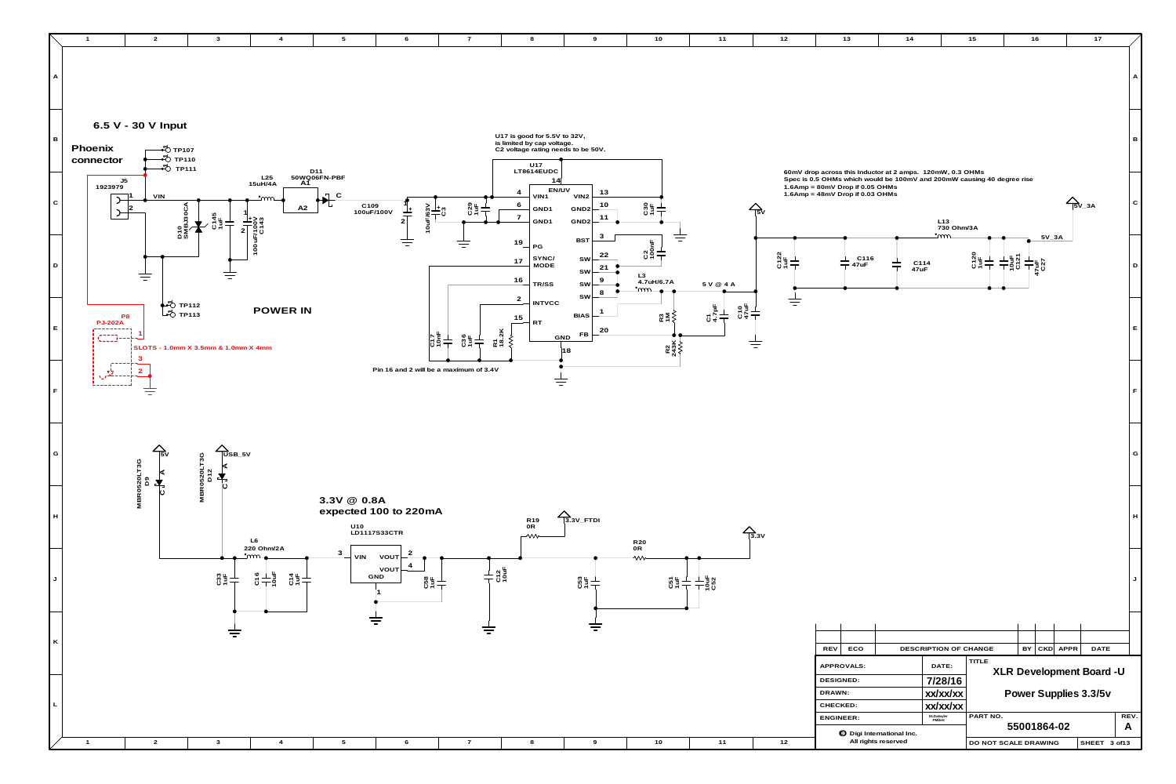

| 10                                                         | $11$                              | $12$                   | $13$                                                                                                                                                                                                      | $14$                  |                                    | $15$                             | 16                                            |      | $17$                                    |           |
|------------------------------------------------------------|-----------------------------------|------------------------|-----------------------------------------------------------------------------------------------------------------------------------------------------------------------------------------------------------|-----------------------|------------------------------------|----------------------------------|-----------------------------------------------|------|-----------------------------------------|-----------|
|                                                            |                                   |                        |                                                                                                                                                                                                           |                       |                                    |                                  |                                               |      |                                         | Α         |
|                                                            |                                   |                        |                                                                                                                                                                                                           |                       |                                    |                                  |                                               |      |                                         | в         |
|                                                            |                                   | $\sum_{\text{ISV}}$    | 60mV drop across this Inductor at 2 amps. 120mW, 0.3 OHMs<br>Spec is 0.5 OHMs which would be 100mV and 200mW causing 40 degree rise<br>1.6Amp = 80mV Drop if 0.05 OHMs<br>1.6Amp = 48mV Drop if 0.03 OHMs |                       | L13<br>730 Ohm/3A                  |                                  |                                               |      | $\sum_{\text{5V}_-3\text{A}}$           | C         |
| 4/6.7A                                                     | 5 V @ 4 A                         | C122<br>1uF            | L C116<br>- 47uF                                                                                                                                                                                          | C114<br>47uF          | <u>•്നന</u>                        | C120<br>1uF                      | $5V_3A$<br>$rac{1}{2}$<br>C121<br>47uF<br>C27 |      |                                         | D         |
| $\underset{\kappa}{\mathbb{R}} \geq \xi$<br>$R_{243}^{21}$ | $C10$<br>47uF<br>$rac{C1}{4.7pF}$ |                        |                                                                                                                                                                                                           |                       |                                    |                                  |                                               |      |                                         | Е         |
|                                                            |                                   |                        |                                                                                                                                                                                                           |                       |                                    |                                  |                                               |      |                                         | F         |
|                                                            |                                   |                        |                                                                                                                                                                                                           |                       |                                    |                                  |                                               |      |                                         | G         |
|                                                            |                                   | $\overrightarrow{3.3}$ |                                                                                                                                                                                                           |                       |                                    |                                  |                                               |      |                                         | H         |
| C51                                                        | $rac{1}{C52}$                     |                        |                                                                                                                                                                                                           |                       |                                    |                                  |                                               |      |                                         | J         |
|                                                            |                                   |                        |                                                                                                                                                                                                           |                       |                                    |                                  |                                               |      |                                         |           |
|                                                            |                                   |                        | REV<br>ECO<br>APPROVALS:<br>DESIGNED:<br>DRAWN:                                                                                                                                                           | DESCRIPTION OF CHANGE | DATE:<br>7/28/16<br>xx/xx/xx       | <b>TITLE</b>                     | <b>CKD</b><br>BY<br>Power Supplies 3.3/5v     | APPR | <b>DATE</b><br>XLR Development Board -U |           |
| 10                                                         | $11$                              | $12$                   | CHECKED:<br><b>ENGINEER:</b><br><b>O</b> Digi International Inc.<br>All rights reserved                                                                                                                   |                       | xx/xx/xx<br>DLDatwyler<br>PMillett | PART NO.<br>DO NOT SCALE DRAWING | 55001864-02                                   |      | SHEET 3 of13                            | REV.<br>A |
|                                                            |                                   |                        |                                                                                                                                                                                                           |                       |                                    |                                  |                                               |      |                                         |           |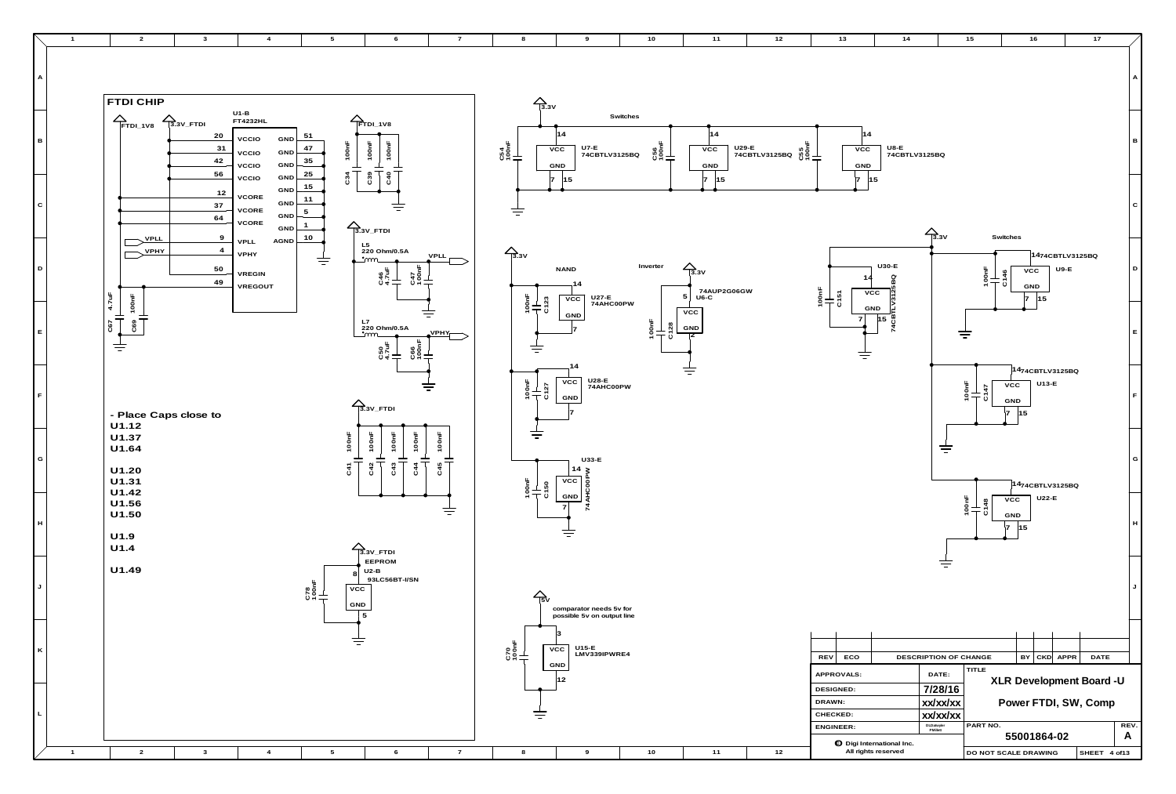

| $\overline{10}$            | $11$                                     | 12 | 13                                                                 | 14                                                      |                                                                   | $15$                 |                                                                      | 16      |                           | $17$                                                     |                           |
|----------------------------|------------------------------------------|----|--------------------------------------------------------------------|---------------------------------------------------------|-------------------------------------------------------------------|----------------------|----------------------------------------------------------------------|---------|---------------------------|----------------------------------------------------------|---------------------------|
|                            |                                          |    |                                                                    |                                                         |                                                                   |                      |                                                                      |         |                           |                                                          | A                         |
| C56<br>100nF<br><b>  I</b> | 14<br>$\overline{vcc}$<br>GND            |    | 14<br>VCC<br>GND                                                   | U8-E<br>74CBTLV3125BQ                                   |                                                                   |                      |                                                                      |         |                           |                                                          | в                         |
|                            | 15<br>7                                  |    | $\overline{7}$                                                     | 15                                                      | $\frac{1}{3}$ 3V                                                  |                      |                                                                      |         |                           |                                                          | ${\bf C}$                 |
| erter                      | $\sum_{3.3}$<br>74AUP2G06GW<br>U6-C<br>5 |    | 14<br>$\begin{array}{c}\n100F \\ T51\n\end{array}$<br>${\tt VCC}$  | $U30-E$<br>3125BQ                                       |                                                                   | 100nF                | Switches<br>$\overline{vcc}$<br>C146<br><b>GND</b><br>$\overline{7}$ | 15      | 1474CBTLV3125BQ<br>$U9-E$ |                                                          | $\mathsf D$               |
| $\frac{1}{2}$              | ${\tt VCC}$<br>${\sf GND}$<br>2          |    | GND<br>7                                                           | 74CBT<br>15                                             |                                                                   |                      |                                                                      |         |                           |                                                          | $\mathsf E$               |
|                            |                                          |    |                                                                    |                                                         |                                                                   | $\frac{100nF}{C147}$ | ${\tt VCC}$<br>GND<br>7<br>15                                        | $U13-E$ | 1474CBTLV3125BQ           |                                                          | $\mathsf F$               |
|                            |                                          |    |                                                                    |                                                         |                                                                   |                      |                                                                      |         | 1474CBTLV3125BQ           |                                                          | G                         |
|                            |                                          |    |                                                                    |                                                         |                                                                   | 100nF<br>C148        | <b>VCC</b><br>GND<br>7<br>15                                         | U22-E   |                           |                                                          | $\boldsymbol{\mathsf{H}}$ |
|                            |                                          |    |                                                                    |                                                         |                                                                   |                      |                                                                      |         |                           |                                                          | J                         |
|                            |                                          |    |                                                                    |                                                         |                                                                   |                      |                                                                      |         |                           |                                                          |                           |
|                            |                                          |    | <b>REV</b><br>ECO<br>APPROVALS:<br>DESIGNED:<br>DRAWN:<br>CHECKED: |                                                         | DESCRIPTION OF CHANGE<br>DATE:<br>7/28/16<br>xx/xx/xx<br>xx/xx/xx | TITLE                | BY                                                                   |         | CKD APPR                  | DATE<br>XLR Development Board -U<br>Power FTDI, SW, Comp |                           |
|                            |                                          |    | ENGINEER:                                                          |                                                         | DLDatwyler<br>PMillett                                            | PART NO.             | 55001864-02                                                          |         |                           |                                                          | REV.<br>A                 |
| 10                         | $11$                                     | 12 |                                                                    | <b>O</b> Digi International Inc.<br>All rights reserved |                                                                   | DO NOT SCALE DRAWING |                                                                      |         |                           | SHEET 4 of13                                             |                           |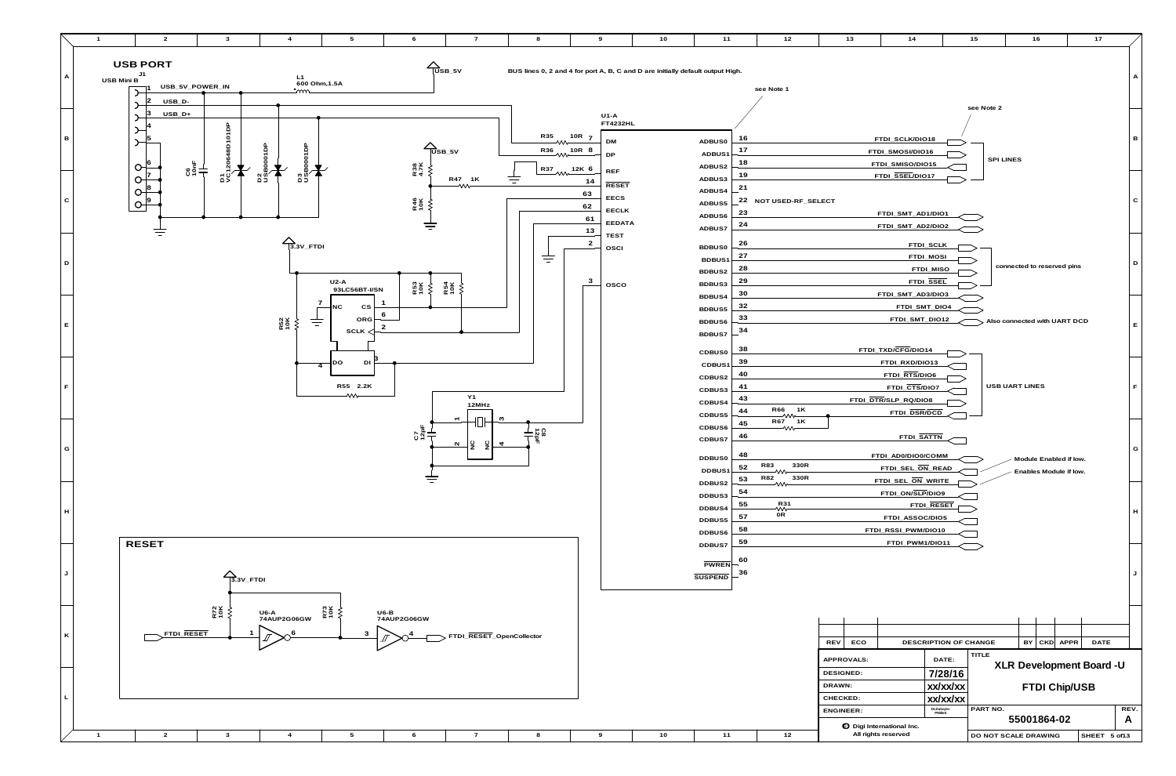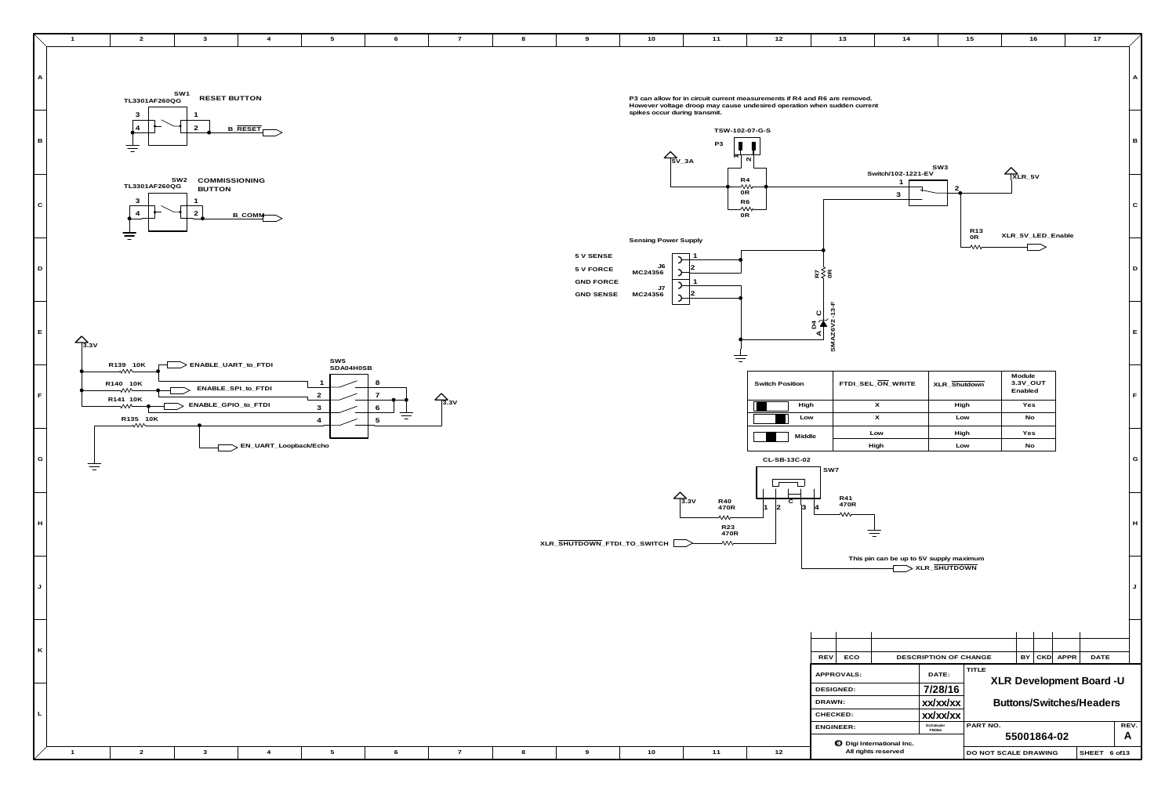

| 10                                          | 11                                                                                                                                           | 12                                    | 13                                            | 14                                                  |                                          | 15                   | 16                                         |                    | $17$                                                        |                           |
|---------------------------------------------|----------------------------------------------------------------------------------------------------------------------------------------------|---------------------------------------|-----------------------------------------------|-----------------------------------------------------|------------------------------------------|----------------------|--------------------------------------------|--------------------|-------------------------------------------------------------|---------------------------|
|                                             | n allow for in circuit current measurements if R4 and R6 are removed.<br>ver voltage droop may cause undesired operation when sudden current |                                       |                                               |                                                     |                                          |                      |                                            |                    |                                                             | $\boldsymbol{\mathsf{A}}$ |
| $\overline{5}V_3A$                          | s occur during transmit.<br>TSW-102-07-G-S<br>P <sub>3</sub>                                                                                 | $\mathbf{\Omega}$                     |                                               |                                                     | SW <sub>3</sub>                          |                      |                                            |                    |                                                             | В                         |
|                                             | R4<br>₩<br>0R<br>R <sub>6</sub><br>0R                                                                                                        | ⇜                                     |                                               | Switch/102-1221-EV<br>1<br>3                        | $\mathbf{2}$                             | R <sub>13</sub>      | $R_{LR_5V}$                                |                    |                                                             | $\mathbf C$               |
| ng Power Supply<br>0ل<br>4356<br>7J<br>4356 |                                                                                                                                              |                                       | ⊭≽ ≿                                          |                                                     |                                          | 0R<br>⇜              |                                            | XLR_5V_LED_Enable  |                                                             | D                         |
|                                             |                                                                                                                                              |                                       | ო<br>ပ<br>$\rm{g}$<br>SMAZ6V<br>⋖             |                                                     |                                          |                      |                                            |                    |                                                             | E                         |
|                                             |                                                                                                                                              | <b>Switch Position</b><br>High<br>Low |                                               | FTDI_SEL_ON_WRITE<br>X<br>$\boldsymbol{\mathsf{X}}$ | XLR_Shutdown<br>High<br>Low              |                      | Module<br>3.3V_OUT<br>Enabled<br>Yes<br>No |                    |                                                             | F                         |
|                                             |                                                                                                                                              | Middle<br>CL-SB-13C-02                | SW7                                           | Low<br>High                                         | High<br>Low                              |                      | Yes<br>No                                  |                    |                                                             | G                         |
| VITCH                                       | $\overline{3.3}$ V<br>R40<br>470R<br>⇜<br>R23<br>470R<br>⇜                                                                                   | С<br>$\vert$ 2<br>$\vert$ 1<br>3      | R41<br>470R<br>4<br>⇜                         |                                                     |                                          |                      |                                            |                    |                                                             | $\boldsymbol{\mathsf{H}}$ |
|                                             |                                                                                                                                              |                                       |                                               | This pin can be up to 5V supply maximum             | > XLR_SHUTDOWN                           |                      |                                            |                    |                                                             | J                         |
|                                             |                                                                                                                                              |                                       | <b>REV</b><br>ECO                             |                                                     | DESCRIPTION OF CHANGE                    |                      | BY                                         | APPR<br><b>CKD</b> | <b>DATE</b>                                                 |                           |
|                                             |                                                                                                                                              |                                       | APPROVALS:<br>DESIGNED:<br>DRAWN:<br>CHECKED: |                                                     | DATE:<br>7/28/16<br>xx/xx/xx<br>xx/xx/xx | <b>TITLE</b>         |                                            |                    | XLR Development Board -U<br><b>Buttons/Switches/Headers</b> |                           |
|                                             |                                                                                                                                              |                                       | <b>ENGINEER:</b>                              | <b>O</b> Digi International Inc.                    | DLDatwyler<br>PMillett                   | PART NO.             | 55001864-02                                |                    |                                                             | REV.<br>A                 |
| 10                                          | $11$                                                                                                                                         | $12$                                  |                                               | All rights reserved                                 |                                          | DO NOT SCALE DRAWING |                                            |                    | SHEET 6 of13                                                |                           |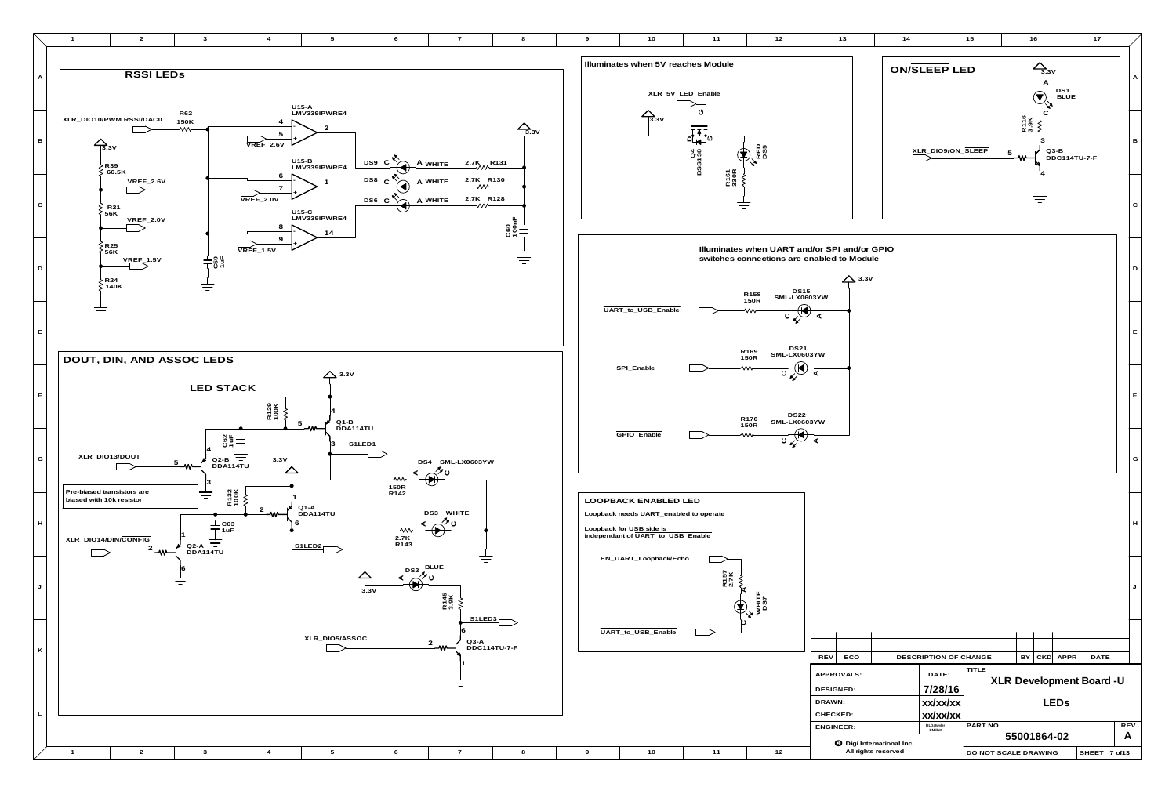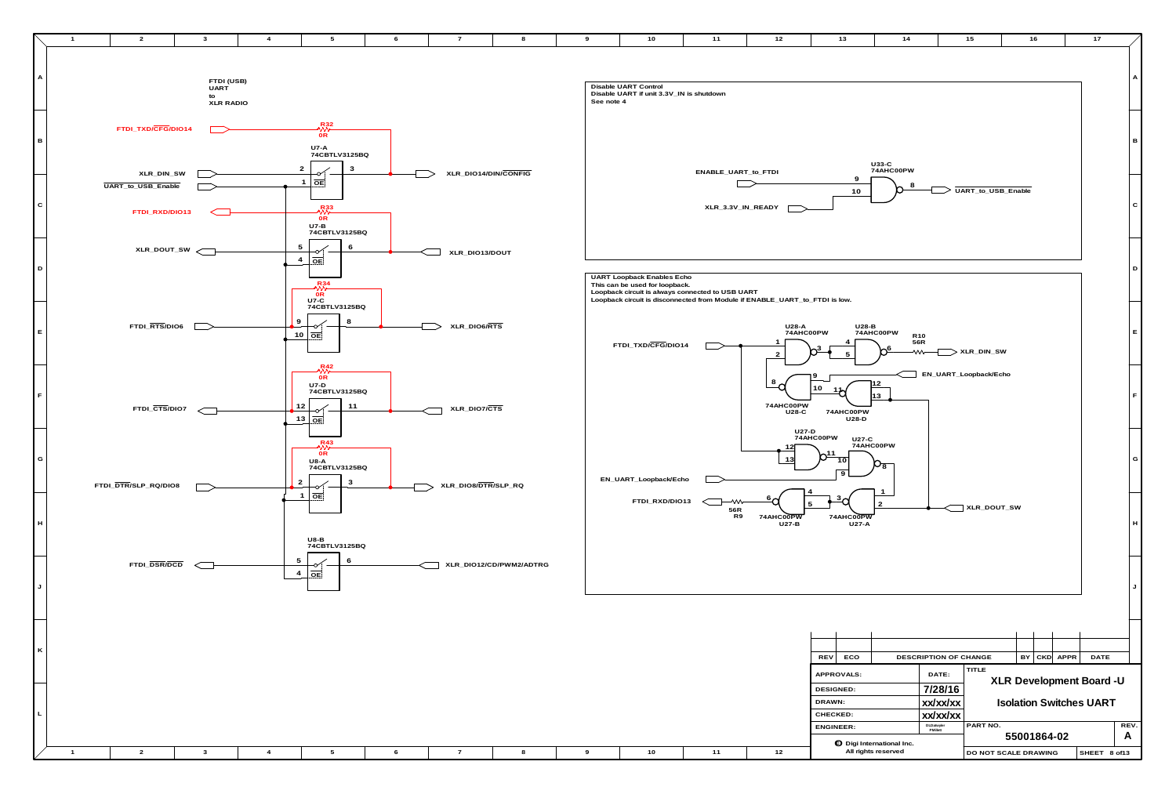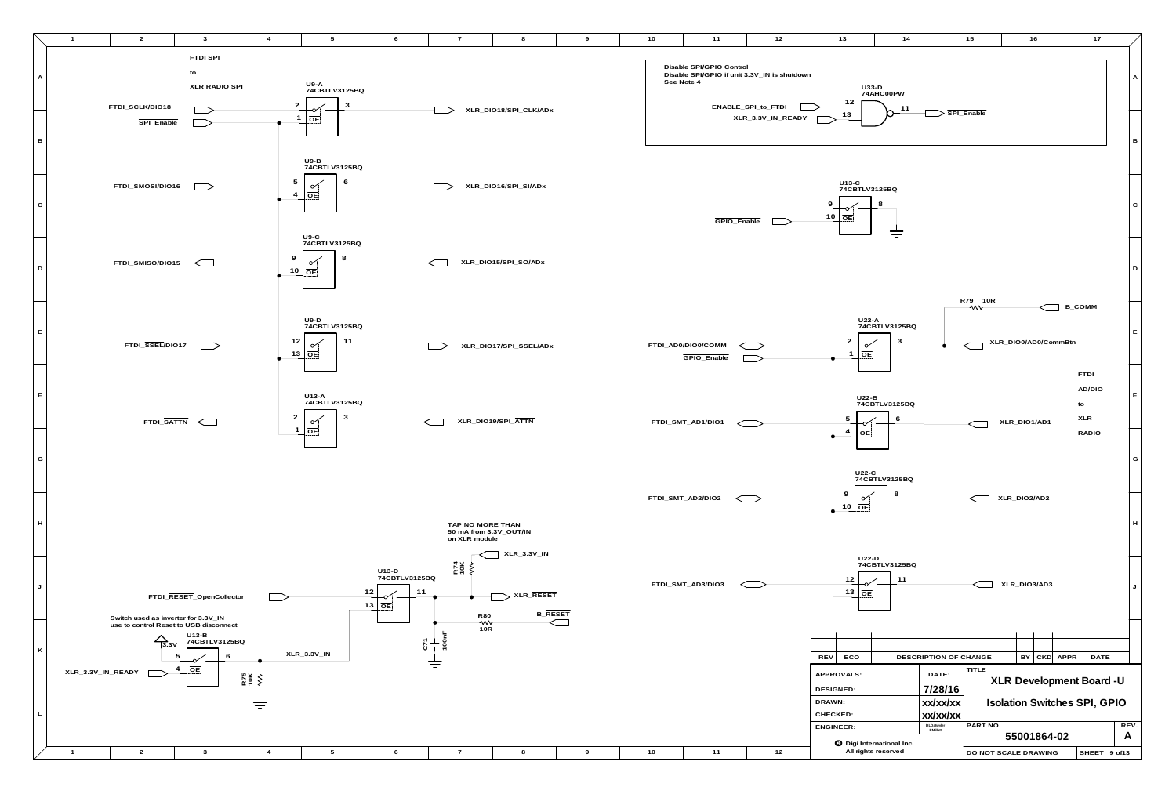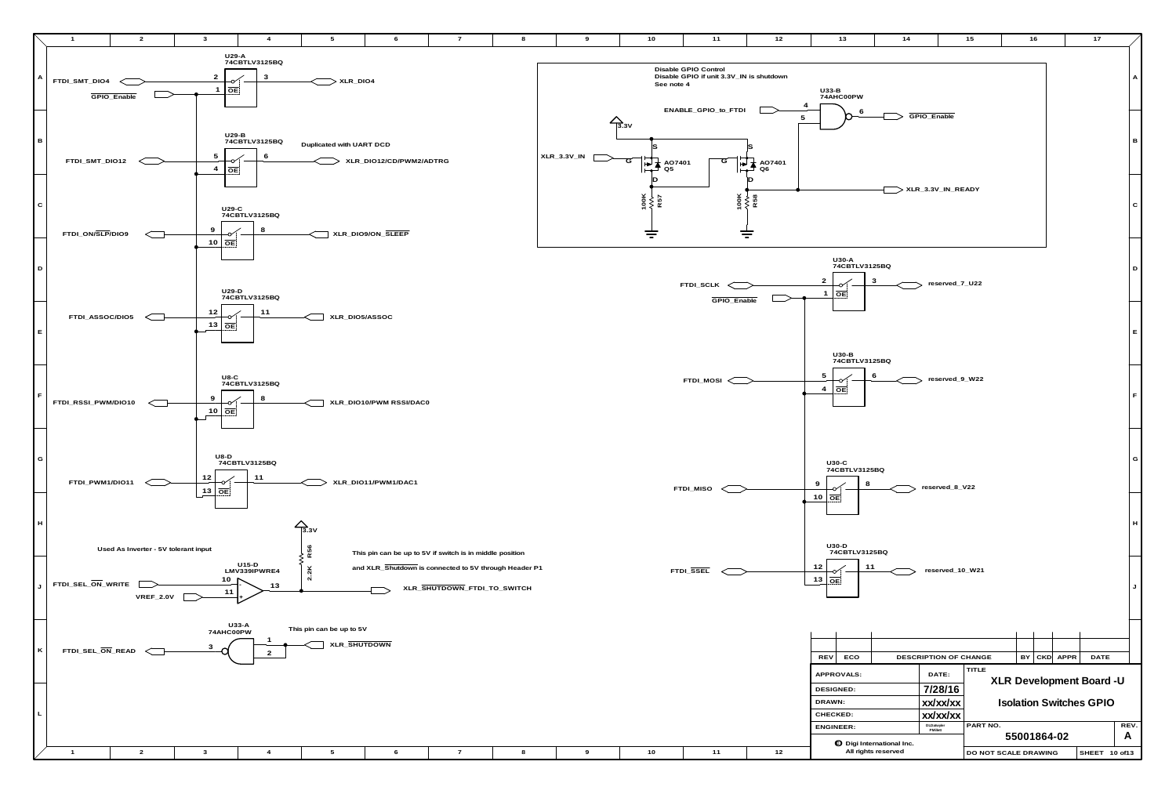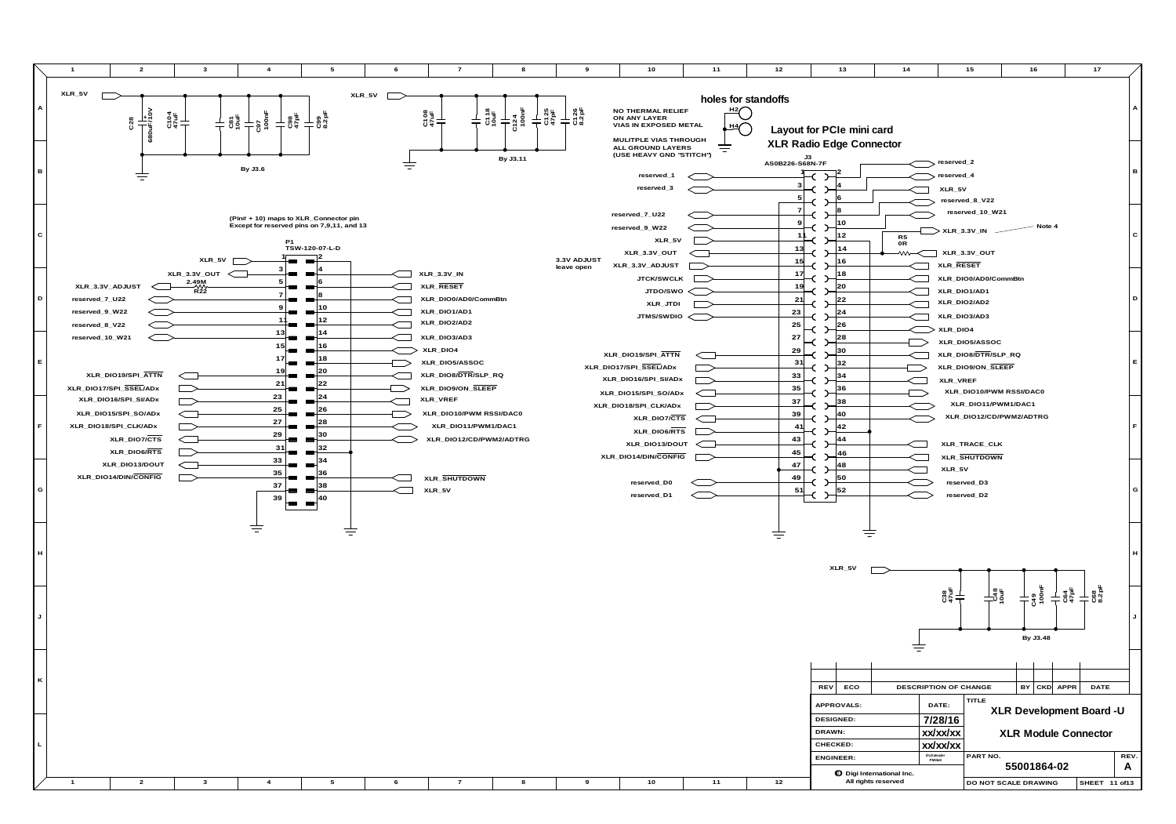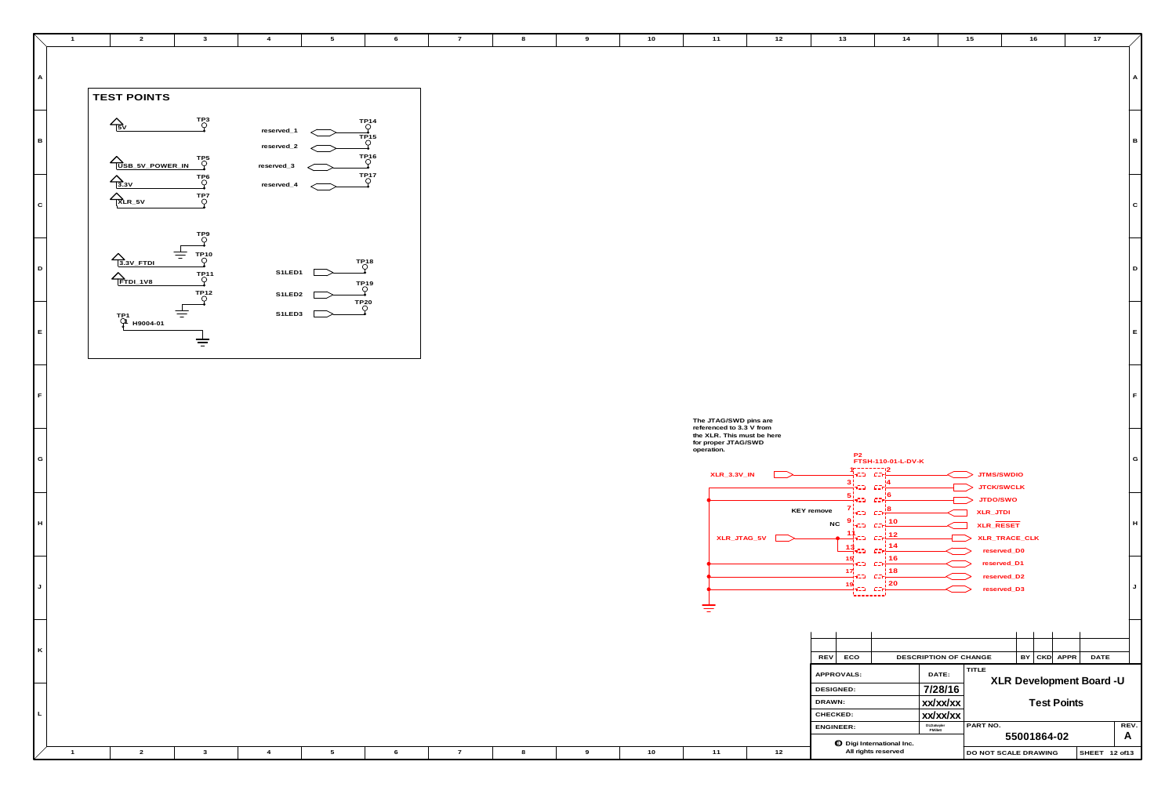| $\overline{2}$                    | $\overline{\mathbf{3}}$            | $\overline{4}$           | $5\overline{)}$ | 6                          | $\overline{7}$ | 8 | 9 | 10 | 11                                                              | 12 | $13$                                                                                                                                                                                                                                                                                                                                                                                          | 14                       | 15                                                         | 16                           | 17            |
|-----------------------------------|------------------------------------|--------------------------|-----------------|----------------------------|----------------|---|---|----|-----------------------------------------------------------------|----|-----------------------------------------------------------------------------------------------------------------------------------------------------------------------------------------------------------------------------------------------------------------------------------------------------------------------------------------------------------------------------------------------|--------------------------|------------------------------------------------------------|------------------------------|---------------|
|                                   |                                    |                          |                 |                            |                |   |   |    |                                                                 |    |                                                                                                                                                                                                                                                                                                                                                                                               |                          |                                                            |                              |               |
|                                   |                                    |                          |                 |                            |                |   |   |    |                                                                 |    |                                                                                                                                                                                                                                                                                                                                                                                               |                          |                                                            |                              |               |
| TEST POINTS                       |                                    |                          |                 |                            |                |   |   |    |                                                                 |    |                                                                                                                                                                                                                                                                                                                                                                                               |                          |                                                            |                              |               |
| $\leftarrow$                      | $T_{\bigcirc}^{P3}$                |                          |                 | $\bigcirc^{\text{TP14}}$   |                |   |   |    |                                                                 |    |                                                                                                                                                                                                                                                                                                                                                                                               |                          |                                                            |                              |               |
|                                   |                                    | reserved_1<br>reserved_2 |                 | <b>TP15</b><br>∩           |                |   |   |    |                                                                 |    |                                                                                                                                                                                                                                                                                                                                                                                               |                          |                                                            |                              |               |
| USB_5V_POWER_IN                   | TPt<br>O                           | reserved_3               |                 | $\rm ^{TP16}_{O}$          |                |   |   |    |                                                                 |    |                                                                                                                                                                                                                                                                                                                                                                                               |                          |                                                            |                              |               |
| $\Delta$ <sub>3.3V</sub>          |                                    | reserved_4               |                 | $T_{\bigcirc}^{P17}$       |                |   |   |    |                                                                 |    |                                                                                                                                                                                                                                                                                                                                                                                               |                          |                                                            |                              |               |
| $\sum_{\text{XLR}_5 \vee}$        | $T_{\bigcirc}^{P7}$                |                          |                 |                            |                |   |   |    |                                                                 |    |                                                                                                                                                                                                                                                                                                                                                                                               |                          |                                                            |                              |               |
|                                   |                                    |                          |                 |                            |                |   |   |    |                                                                 |    |                                                                                                                                                                                                                                                                                                                                                                                               |                          |                                                            |                              |               |
|                                   | $\bigcap_{\bigcirc}^{TP9}$         |                          |                 |                            |                |   |   |    |                                                                 |    |                                                                                                                                                                                                                                                                                                                                                                                               |                          |                                                            |                              |               |
| $\triangle$ <sub>3.3V</sub> _FTDI | 专<br>$\bigcap_{\bigcirc}^{T P 10}$ |                          |                 |                            |                |   |   |    |                                                                 |    |                                                                                                                                                                                                                                                                                                                                                                                               |                          |                                                            |                              |               |
| $\sum$ FTDI_1V8                   | $\bigcap_{i=1}^{T}$                | S1LED1                   |                 | $\bigcirc$ <sup>TP18</sup> |                |   |   |    |                                                                 |    |                                                                                                                                                                                                                                                                                                                                                                                               |                          |                                                            |                              |               |
|                                   | TP <sub>12</sub>                   | S1LED2                   |                 | $\bigcirc$ <sup>TP19</sup> |                |   |   |    |                                                                 |    |                                                                                                                                                                                                                                                                                                                                                                                               |                          |                                                            |                              |               |
| тр1<br>- О1 н9004-01              | 专                                  | S1LED3                   |                 | TP <sub>20</sub>           |                |   |   |    |                                                                 |    |                                                                                                                                                                                                                                                                                                                                                                                               |                          |                                                            |                              |               |
|                                   |                                    |                          |                 |                            |                |   |   |    |                                                                 |    |                                                                                                                                                                                                                                                                                                                                                                                               |                          |                                                            |                              |               |
|                                   | 吉                                  |                          |                 |                            |                |   |   |    |                                                                 |    |                                                                                                                                                                                                                                                                                                                                                                                               |                          |                                                            |                              |               |
|                                   |                                    |                          |                 |                            |                |   |   |    |                                                                 |    |                                                                                                                                                                                                                                                                                                                                                                                               |                          |                                                            |                              |               |
|                                   |                                    |                          |                 |                            |                |   |   |    |                                                                 |    |                                                                                                                                                                                                                                                                                                                                                                                               |                          |                                                            |                              |               |
|                                   |                                    |                          |                 |                            |                |   |   |    |                                                                 |    |                                                                                                                                                                                                                                                                                                                                                                                               |                          |                                                            |                              |               |
|                                   |                                    |                          |                 |                            |                |   |   |    | The JTAG/SWD pins are<br>referenced to 3.3 V from               |    |                                                                                                                                                                                                                                                                                                                                                                                               |                          |                                                            |                              |               |
|                                   |                                    |                          |                 |                            |                |   |   |    | the XLR. This must be here<br>for proper JTAG/SWD<br>operation. |    |                                                                                                                                                                                                                                                                                                                                                                                               |                          |                                                            |                              |               |
|                                   |                                    |                          |                 |                            |                |   |   |    | $XLR_3.3V_N$                                                    |    | 15000000012<br> -<br> -CD COH                                                                                                                                                                                                                                                                                                                                                                 | P2<br>FTSH-110-01-L-DV-K |                                                            | JTMS/SWDIO                   |               |
|                                   |                                    |                          |                 |                            |                |   |   |    |                                                                 |    | $\frac{3!}{1!}$ car $\frac{14}{1}$                                                                                                                                                                                                                                                                                                                                                            |                          | JTCK/SWCLK                                                 |                              |               |
|                                   |                                    |                          |                 |                            |                |   |   |    |                                                                 |    | $\frac{5!}{1!}$ and $\frac{16}{1}$<br>$7\frac{1}{122}$ $cm\frac{18}{12}$<br>KEY remove                                                                                                                                                                                                                                                                                                        |                          | JTDO/SWO<br>$\overline{\phantom{a}}$<br>XLR_JTDI<br>$\Box$ |                              |               |
|                                   |                                    |                          |                 |                            |                |   |   |    |                                                                 |    | <b>NC</b><br>ijes i                                                                                                                                                                                                                                                                                                                                                                           | $c = \frac{110}{1}$      | XLR_RESET<br>$\Box$                                        |                              |               |
|                                   |                                    |                          |                 |                            |                |   |   |    | XLR_JTAG_5V                                                     |    | 11<br>13 ca 14<br>15 ca 16<br>15 ca 16                                                                                                                                                                                                                                                                                                                                                        |                          | $\implies$                                                 | XLR_TRACE_CLK<br>reserved_D0 |               |
|                                   |                                    |                          |                 |                            |                |   |   |    |                                                                 |    |                                                                                                                                                                                                                                                                                                                                                                                               |                          |                                                            | reserved_D1                  |               |
|                                   |                                    |                          |                 |                            |                |   |   |    |                                                                 |    | $\begin{array}{c cc}\n 15 & 16 \\  \hline\n 17 & 18 \\  \hline\n 19 & 13 \\  \hline\n 19 & 12 \\  \hline\n 10 & 18 \\  \hline\n 11 & 18 \\  \hline\n 12 & 18 \\  \hline\n 13 & 120 \\  \hline\n 14 & 120 \\  \hline\n 15 & 120 \\  \hline\n 16 & 120 \\  \hline\n 17 & 120 \\  \hline\n 18 & 120 \\  \hline\n 19 & 120 \\  \hline\n 10 & 120 \\  \hline\n 10 & 120 \\  \hline\n 11 & 120 \\ $ |                          |                                                            | reserved_D2<br>reserved_D3   |               |
|                                   |                                    |                          |                 |                            |                |   |   |    | 吉                                                               |    |                                                                                                                                                                                                                                                                                                                                                                                               |                          |                                                            |                              |               |
|                                   |                                    |                          |                 |                            |                |   |   |    |                                                                 |    |                                                                                                                                                                                                                                                                                                                                                                                               |                          |                                                            |                              |               |
|                                   |                                    |                          |                 |                            |                |   |   |    |                                                                 |    |                                                                                                                                                                                                                                                                                                                                                                                               |                          |                                                            |                              |               |
|                                   |                                    |                          |                 |                            |                |   |   |    |                                                                 |    | REV ECO                                                                                                                                                                                                                                                                                                                                                                                       |                          | DESCRIPTION OF CHANGE                                      | $BY$ $CKD$ $APPR$            | <b>DATE</b>   |
|                                   |                                    |                          |                 |                            |                |   |   |    |                                                                 |    | APPROVALS:                                                                                                                                                                                                                                                                                                                                                                                    |                          | TITLE<br>DATE:                                             | XLR Development Board -U     |               |
|                                   |                                    |                          |                 |                            |                |   |   |    |                                                                 |    | DESIGNED:<br>DRAWN:                                                                                                                                                                                                                                                                                                                                                                           |                          | 7/28/16<br>xx/xx/xx                                        | <b>Test Points</b>           |               |
|                                   |                                    |                          |                 |                            |                |   |   |    |                                                                 |    | CHECKED:                                                                                                                                                                                                                                                                                                                                                                                      |                          | $x \times x \times x$                                      |                              |               |
|                                   |                                    |                          |                 |                            |                |   |   |    |                                                                 |    | ENGINEER:<br><b>O</b> Digi International Inc.                                                                                                                                                                                                                                                                                                                                                 |                          | PART NO.<br>DLDatwyler<br>PMillett                         | 55001864-02                  |               |
| $\overline{2}$                    | $\mathbf{3}$                       | $\overline{4}$           | $5\phantom{.0}$ | 6                          | $\overline{7}$ | 8 | 9 | 10 | 11                                                              | 12 |                                                                                                                                                                                                                                                                                                                                                                                               | All rights reserved      |                                                            | DO NOT SCALE DRAWING         | SHEET 12 of13 |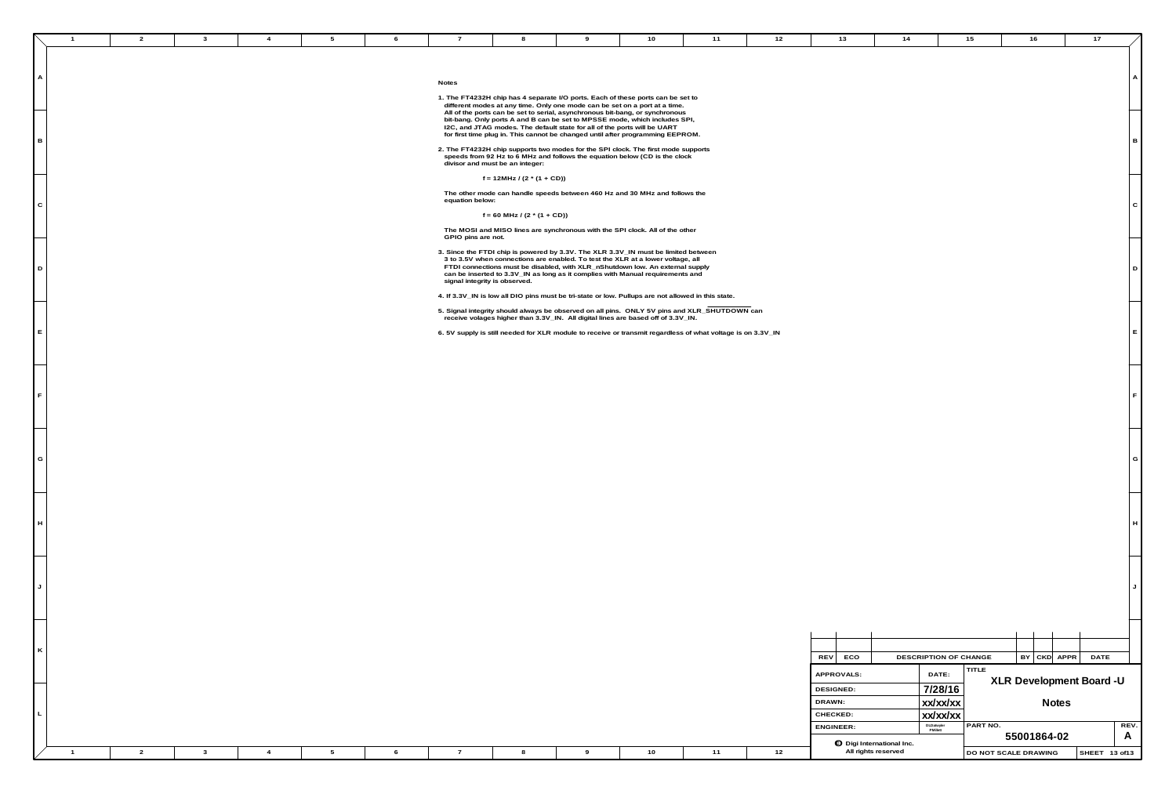**A**

**G**

**E**

**B**

**F**

**C**

**D**

|  |  |  |  |  |  | .<br><br>. . |                               |
|--|--|--|--|--|--|--------------|-------------------------------|
|  |  |  |  |  |  | reservec     | <b>I DO NOT SCALE DRAWING</b> |

**L**

**K**

**J**

**H**

## **Notes**

- **1. The FT4232H chip has 4 separate I/O ports. Each of these ports can be set to different modes at any time. Only one mode can be set on a port at a time. All of the ports can be set to serial, asynchronous bit-bang, or synchronous bit-bang. Only ports A and B can be set to MPSSE mode, which includes SPI, I2C, and JTAG modes. The default state for all of the ports will be UART for first time plug in. This cannot be changed until after programming EEPROM.**
- **2. The FT4232H chip supports two modes for the SPI clock. The first mode supports speeds from 92 Hz to 6 MHz and follows the equation below (CD is the clock divisor and must be an integer:**

 **f = 12MHz / (2 \* (1 + CD))**

| 10                                                                                               | 11                                                                                                        | 12   | 13                                                   | 14                               |                                          | 15                   |             | 16 |          | 17                       |                           |
|--------------------------------------------------------------------------------------------------|-----------------------------------------------------------------------------------------------------------|------|------------------------------------------------------|----------------------------------|------------------------------------------|----------------------|-------------|----|----------|--------------------------|---------------------------|
| ts can be set to<br>rt at a time.                                                                |                                                                                                           |      |                                                      |                                  |                                          |                      |             |    |          |                          | A                         |
| ynchronous<br>, includes SPI<br>be UART<br>ming EEPROM.<br>first mode supports<br>D is the clock |                                                                                                           |      |                                                      |                                  |                                          |                      |             |    |          |                          | в                         |
| 1z and follows the<br>All of the other                                                           |                                                                                                           |      |                                                      |                                  |                                          |                      |             |    |          |                          | ${\rm C}$                 |
| st be limited between<br>ower voltage, all<br>An external supply<br>equirements and              |                                                                                                           |      |                                                      |                                  |                                          |                      |             |    |          |                          | D                         |
| off of 3.3V_IN.                                                                                  | re not allowed in this state.<br>5V pins and XLR_SHUTDOWN can<br>regardless of what voltage is on 3.3V_IN |      |                                                      |                                  |                                          |                      |             |    |          |                          | $\mathsf E$               |
|                                                                                                  |                                                                                                           |      |                                                      |                                  |                                          |                      |             |    |          |                          | $\mathsf F$               |
|                                                                                                  |                                                                                                           |      |                                                      |                                  |                                          |                      |             |    |          |                          | ${\mathsf G}$             |
|                                                                                                  |                                                                                                           |      |                                                      |                                  |                                          |                      |             |    |          |                          | $\boldsymbol{\mathsf{H}}$ |
|                                                                                                  |                                                                                                           |      |                                                      |                                  |                                          |                      |             |    |          |                          | J                         |
|                                                                                                  |                                                                                                           |      | <b>REV</b><br>ECO                                    |                                  | DESCRIPTION OF CHANGE                    |                      | BY          |    | CKD APPR | DATE                     |                           |
|                                                                                                  |                                                                                                           |      | APPROVALS:<br><b>DESIGNED:</b><br>DRAWN:<br>CHECKED: |                                  | DATE:<br>7/28/16<br>xx/xx/xx<br>XX/XX/XX | TITLE                |             |    | Notes    | XLR Development Board -U |                           |
|                                                                                                  |                                                                                                           |      | ENGINEER:                                            | <b>O</b> Digi International Inc. | DLDatwyler<br>PMillett                   | PART NO.             | 55001864-02 |    |          |                          | REV.<br>A                 |
| 10                                                                                               | $11$                                                                                                      | $12$ |                                                      | All rights reserved              |                                          | DO NOT SCALE DRAWING |             |    |          | SHEET 13 of13            |                           |

 **The other mode can handle speeds between 460 Hz and 30 MHz and follows the equation below:**

 $f = 60$  MHz /  $(2 * (1 + CD))$ 

 **The MOSI and MISO lines are synchronous with the SPI clock. All of the other GPIO pins are not.**

**3. Since the FTDI chip is powered by 3.3V. The XLR 3.3V\_IN must be limited between 3 to 3.5V when connections are enabled. To test the XLR at a lower voltage, all FTDI connections must be disabled, with XLR\_nShutdown low. An external supply can be inserted to 3.3V\_IN as long as it complies with Manual requirements and signal integrity is observed.** 

**4. If 3.3V\_IN is low all DIO pins must be tri-state or low. Pullups are not allowed in this state.**

**5. Signal integrity should always be observed on all pins. ONLY 5V pins and XLR\_SHUTDOWN can receive volages higher than 3.3V\_IN. All digital lines are based off of 3.3V\_IN.**

**6. 5V supply is still needed for XLR module to receive or transmit regardless of what voltage is on 3.3V\_IN**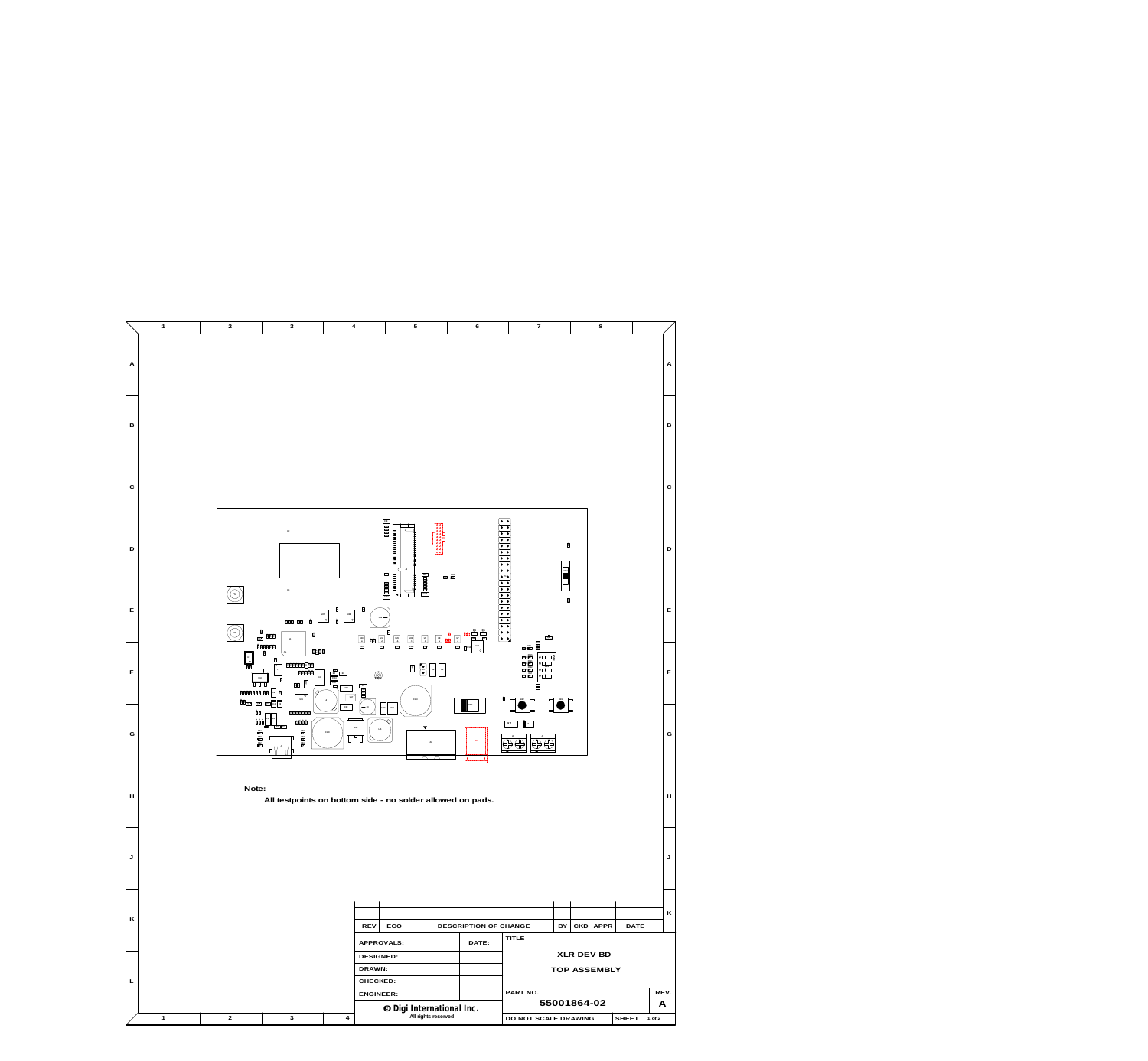